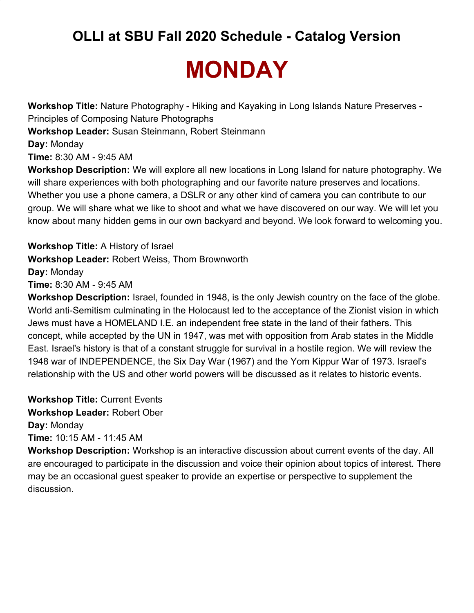## **MONDAY**

**Workshop Title:** Nature Photography - Hiking and Kayaking in Long Islands Nature Preserves - Principles of Composing Nature Photographs **Workshop Leader:** Susan Steinmann, Robert Steinmann **Day:** Monday **Time:** 8:30 AM - 9:45 AM **Workshop Description:** We will explore all new locations in Long Island for nature photography. We will share experiences with both photographing and our favorite nature preserves and locations. Whether you use a phone camera, a DSLR or any other kind of camera you can contribute to our group. We will share what we like to shoot and what we have discovered on our way. We will let you

know about many hidden gems in our own backyard and beyond. We look forward to welcoming you.

**Workshop Title:** A History of Israel **Workshop Leader:** Robert Weiss, Thom Brownworth **Day:** Monday **Time:** 8:30 AM - 9:45 AM

**Workshop Description:** Israel, founded in 1948, is the only Jewish country on the face of the globe. World anti-Semitism culminating in the Holocaust led to the acceptance of the Zionist vision in which Jews must have a HOMELAND I.E. an independent free state in the land of their fathers. This concept, while accepted by the UN in 1947, was met with opposition from Arab states in the Middle East. Israel's history is that of a constant struggle for survival in a hostile region. We will review the 1948 war of INDEPENDENCE, the Six Day War (1967) and the Yom Kippur War of 1973. Israel's relationship with the US and other world powers will be discussed as it relates to historic events.

**Workshop Title:** Current Events **Workshop Leader:** Robert Ober **Day:** Monday **Time:** 10:15 AM - 11:45 AM

**Workshop Description:** Workshop is an interactive discussion about current events of the day. All are encouraged to participate in the discussion and voice their opinion about topics of interest. There may be an occasional guest speaker to provide an expertise or perspective to supplement the discussion.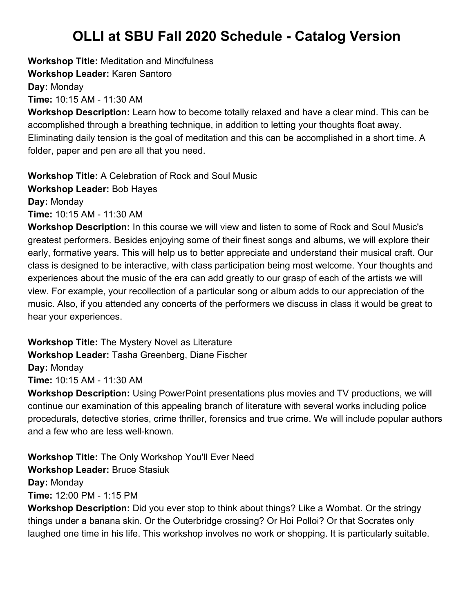**Workshop Title:** Meditation and Mindfulness **Workshop Leader:** Karen Santoro **Day:** Monday

**Time:** 10:15 AM - 11:30 AM

**Workshop Description:** Learn how to become totally relaxed and have a clear mind. This can be accomplished through a breathing technique, in addition to letting your thoughts float away. Eliminating daily tension is the goal of meditation and this can be accomplished in a short time. A folder, paper and pen are all that you need.

**Workshop Title:** A Celebration of Rock and Soul Music **Workshop Leader:** Bob Hayes **Day:** Monday **Time:** 10:15 AM - 11:30 AM

**Workshop Description:** In this course we will view and listen to some of Rock and Soul Music's greatest performers. Besides enjoying some of their finest songs and albums, we will explore their early, formative years. This will help us to better appreciate and understand their musical craft. Our class is designed to be interactive, with class participation being most welcome. Your thoughts and experiences about the music of the era can add greatly to our grasp of each of the artists we will view. For example, your recollection of a particular song or album adds to our appreciation of the music. Also, if you attended any concerts of the performers we discuss in class it would be great to hear your experiences.

**Workshop Title:** The Mystery Novel as Literature **Workshop Leader:** Tasha Greenberg, Diane Fischer **Day:** Monday **Time:** 10:15 AM - 11:30 AM

**Workshop Description:** Using PowerPoint presentations plus movies and TV productions, we will continue our examination of this appealing branch of literature with several works including police procedurals, detective stories, crime thriller, forensics and true crime. We will include popular authors and a few who are less well-known.

**Workshop Title:** The Only Workshop You'll Ever Need **Workshop Leader:** Bruce Stasiuk **Day:** Monday **Time:** 12:00 PM - 1:15 PM

**Workshop Description:** Did you ever stop to think about things? Like a Wombat. Or the stringy things under a banana skin. Or the Outerbridge crossing? Or Hoi Polloi? Or that Socrates only laughed one time in his life. This workshop involves no work or shopping. It is particularly suitable.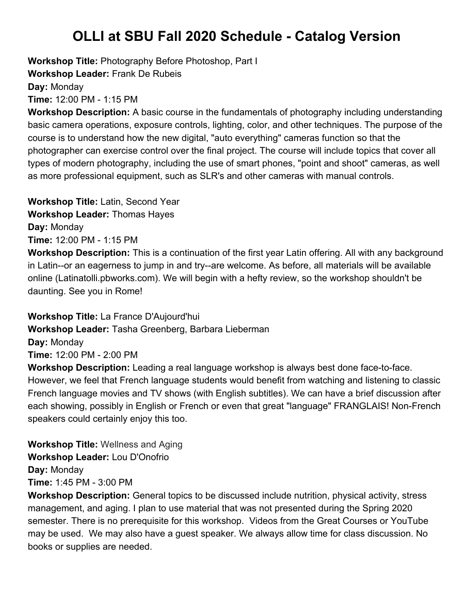**Workshop Title:** Photography Before Photoshop, Part I

**Workshop Leader:** Frank De Rubeis

**Day:** Monday

**Time:** 12:00 PM - 1:15 PM

**Workshop Description:** A basic course in the fundamentals of photography including understanding basic camera operations, exposure controls, lighting, color, and other techniques. The purpose of the course is to understand how the new digital, "auto everything" cameras function so that the photographer can exercise control over the final project. The course will include topics that cover all types of modern photography, including the use of smart phones, "point and shoot" cameras, as well as more professional equipment, such as SLR's and other cameras with manual controls.

**Workshop Title:** Latin, Second Year **Workshop Leader:** Thomas Hayes **Day:** Monday **Time:** 12:00 PM - 1:15 PM

**Workshop Description:** This is a continuation of the first year Latin offering. All with any background in Latin--or an eagerness to jump in and try--are welcome. As before, all materials will be available online (Latinatolli.pbworks.com). We will begin with a hefty review, so the workshop shouldn't be daunting. See you in Rome!

**Workshop Title:** La France D'Aujourd'hui **Workshop Leader:** Tasha Greenberg, Barbara Lieberman **Day:** Monday **Time:** 12:00 PM - 2:00 PM **Workshop Description:** Leading a real language workshop is always best done face-to-face.

However, we feel that French language students would benefit from watching and listening to classic French language movies and TV shows (with English subtitles). We can have a brief discussion after each showing, possibly in English or French or even that great "language" FRANGLAIS! Non-French speakers could certainly enjoy this too.

**Workshop Title:** Wellness and Aging **Workshop Leader:** Lou D'Onofrio **Day:** Monday **Time:** 1:45 PM - 3:00 PM

**Workshop Description:** General topics to be discussed include nutrition, physical activity, stress management, and aging. I plan to use material that was not presented during the Spring 2020 semester. There is no prerequisite for this workshop. Videos from the Great Courses or YouTube may be used. We may also have a guest speaker. We always allow time for class discussion. No books or supplies are needed.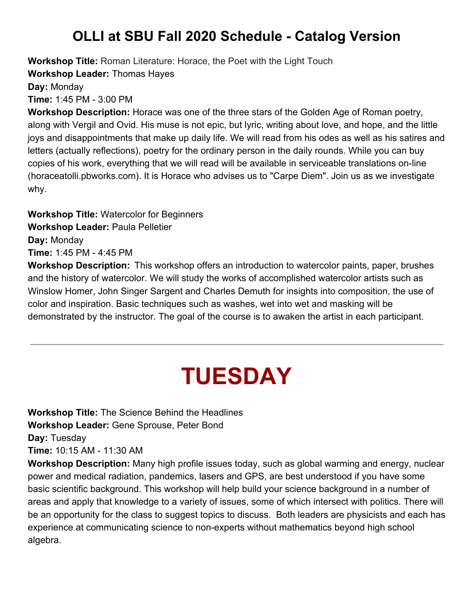**Workshop Title:** Roman Literature: Horace, the Poet with the Light Touch

**Workshop Leader:** Thomas Hayes

**Day:** Monday

**Time:** 1:45 PM - 3:00 PM

**Workshop Description:** Horace was one of the three stars of the Golden Age of Roman poetry, along with Vergil and Ovid. His muse is not epic, but lyric, writing about love, and hope, and the little joys and disappointments that make up daily life. We will read from his odes as well as his satires and letters (actually reflections), poetry for the ordinary person in the daily rounds. While you can buy copies of his work, everything that we will read will be available in serviceable translations on-line (horaceatolli.pbworks.com). It is Horace who advises us to "Carpe Diem". Join us as we investigate why.

**Workshop Title:** Watercolor for Beginners **Workshop Leader:** Paula Pelletier **Day:** Monday **Time:** 1:45 PM - 4:45 PM

**Workshop Description:** This workshop offers an introduction to watercolor paints, paper, brushes and the history of watercolor. We will study the works of accomplished watercolor artists such as Winslow Homer, John Singer Sargent and Charles Demuth for insights into composition, the use of color and inspiration. Basic techniques such as washes, wet into wet and masking will be demonstrated by the instructor. The goal of the course is to awaken the artist in each participant.

## **TUESDAY**

**Workshop Title:** The Science Behind the Headlines **Workshop Leader:** Gene Sprouse, Peter Bond **Day:** Tuesday **Time:** 10:15 AM - 11:30 AM

**Workshop Description:** Many high profile issues today, such as global warming and energy, nuclear power and medical radiation, pandemics, lasers and GPS, are best understood if you have some basic scientific background. This workshop will help build your science background in a number of areas and apply that knowledge to a variety of issues, some of which intersect with politics. There will be an opportunity for the class to suggest topics to discuss. Both leaders are physicists and each has experience at communicating science to non-experts without mathematics beyond high school algebra.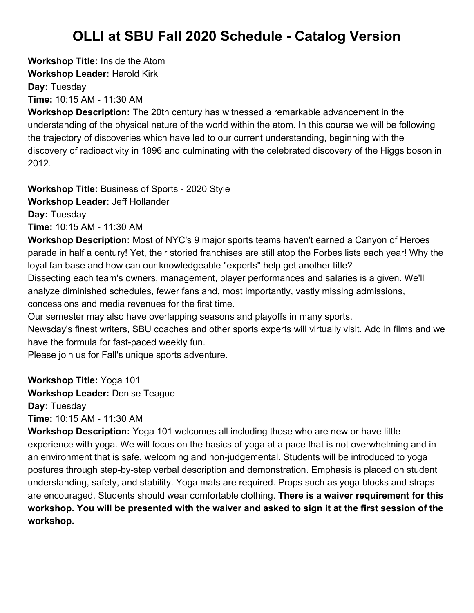**Workshop Title:** Inside the Atom **Workshop Leader:** Harold Kirk **Day:** Tuesday

**Time:** 10:15 AM - 11:30 AM

**Workshop Description:** The 20th century has witnessed a remarkable advancement in the understanding of the physical nature of the world within the atom. In this course we will be following the trajectory of discoveries which have led to our current understanding, beginning with the discovery of radioactivity in 1896 and culminating with the celebrated discovery of the Higgs boson in 2012.

**Workshop Title:** Business of Sports - 2020 Style

**Workshop Leader:** Jeff Hollander

**Day:** Tuesday

**Time:** 10:15 AM - 11:30 AM

**Workshop Description:** Most of NYC's 9 major sports teams haven't earned a Canyon of Heroes parade in half a century! Yet, their storied franchises are still atop the Forbes lists each year! Why the loyal fan base and how can our knowledgeable "experts" help get another title?

Dissecting each team's owners, management, player performances and salaries is a given. We'll analyze diminished schedules, fewer fans and, most importantly, vastly missing admissions, concessions and media revenues for the first time.

Our semester may also have overlapping seasons and playoffs in many sports.

Newsday's finest writers, SBU coaches and other sports experts will virtually visit. Add in films and we have the formula for fast-paced weekly fun.

Please join us for Fall's unique sports adventure.

**Workshop Title:** Yoga 101 **Workshop Leader:** Denise Teague **Day:** Tuesday

**Time:** 10:15 AM - 11:30 AM

**Workshop Description:** Yoga 101 welcomes all including those who are new or have little experience with yoga. We will focus on the basics of yoga at a pace that is not overwhelming and in an environment that is safe, welcoming and non-judgemental. Students will be introduced to yoga postures through step-by-step verbal description and demonstration. Emphasis is placed on student understanding, safety, and stability. Yoga mats are required. Props such as yoga blocks and straps are encouraged. Students should wear comfortable clothing. **There is a waiver requirement for this workshop. You will be presented with the waiver and asked to sign it at the first session of the workshop.**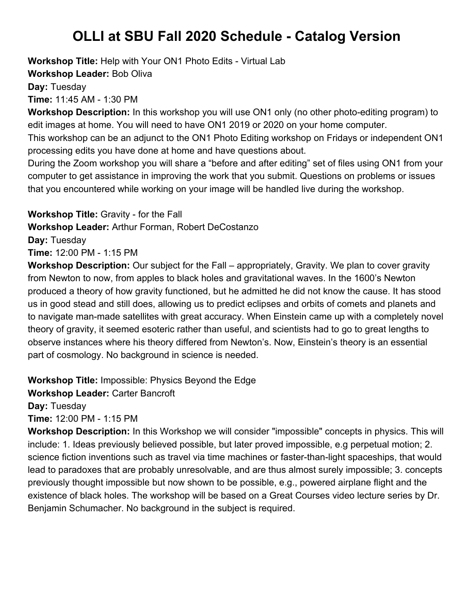**Workshop Title:** Help with Your ON1 Photo Edits - Virtual Lab

**Workshop Leader:** Bob Oliva

**Day:** Tuesday

**Time:** 11:45 AM - 1:30 PM

**Workshop Description:** In this workshop you will use ON1 only (no other photo-editing program) to edit images at home. You will need to have ON1 2019 or 2020 on your home computer.

This workshop can be an adjunct to the ON1 Photo Editing workshop on Fridays or independent ON1 processing edits you have done at home and have questions about.

During the Zoom workshop you will share a "before and after editing" set of files using ON1 from your computer to get assistance in improving the work that you submit. Questions on problems or issues that you encountered while working on your image will be handled live during the workshop.

**Workshop Title:** Gravity - for the Fall

**Workshop Leader:** Arthur Forman, Robert DeCostanzo

**Day:** Tuesday

**Time:** 12:00 PM - 1:15 PM

**Workshop Description:** Our subject for the Fall – appropriately, Gravity. We plan to cover gravity from Newton to now, from apples to black holes and gravitational waves. In the 1600's Newton produced a theory of how gravity functioned, but he admitted he did not know the cause. It has stood us in good stead and still does, allowing us to predict eclipses and orbits of comets and planets and to navigate man-made satellites with great accuracy. When Einstein came up with a completely novel theory of gravity, it seemed esoteric rather than useful, and scientists had to go to great lengths to observe instances where his theory differed from Newton's. Now, Einstein's theory is an essential part of cosmology. No background in science is needed.

**Workshop Title:** Impossible: Physics Beyond the Edge

**Workshop Leader:** Carter Bancroft

**Day:** Tuesday

**Time:** 12:00 PM - 1:15 PM

**Workshop Description:** In this Workshop we will consider "impossible" concepts in physics. This will include: 1. Ideas previously believed possible, but later proved impossible, e.g perpetual motion; 2. science fiction inventions such as travel via time machines or faster-than-light spaceships, that would lead to paradoxes that are probably unresolvable, and are thus almost surely impossible; 3. concepts previously thought impossible but now shown to be possible, e.g., powered airplane flight and the existence of black holes. The workshop will be based on a Great Courses video lecture series by Dr. Benjamin Schumacher. No background in the subject is required.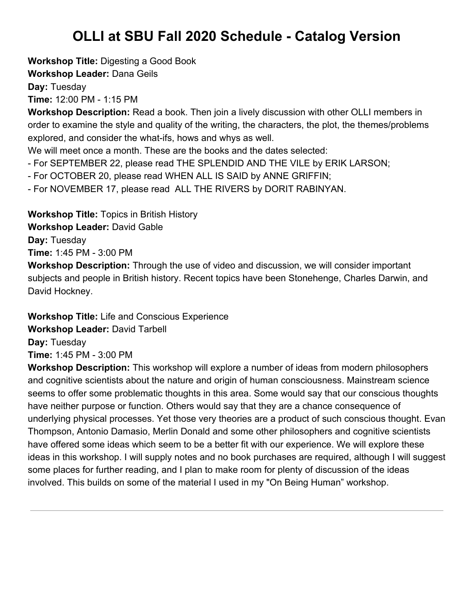**Workshop Title:** Digesting a Good Book

**Workshop Leader:** Dana Geils

**Day:** Tuesday

**Time:** 12:00 PM - 1:15 PM

**Workshop Description:** Read a book. Then join a lively discussion with other OLLI members in order to examine the style and quality of the writing, the characters, the plot, the themes/problems explored, and consider the what-ifs, hows and whys as well.

We will meet once a month. These are the books and the dates selected:

- For SEPTEMBER 22, please read THE SPLENDID AND THE VILE by ERIK LARSON;

- For OCTOBER 20, please read WHEN ALL IS SAID by ANNE GRIFFIN;

- For NOVEMBER 17, please read ALL THE RIVERS by DORIT RABINYAN.

**Workshop Title:** Topics in British History **Workshop Leader:** David Gable **Day:** Tuesday **Time:** 1:45 PM - 3:00 PM

**Workshop Description:** Through the use of video and discussion, we will consider important subjects and people in British history. Recent topics have been Stonehenge, Charles Darwin, and David Hockney.

**Workshop Title:** Life and Conscious Experience **Workshop Leader:** David Tarbell **Day:** Tuesday **Time:** 1:45 PM - 3:00 PM

**Workshop Description:** This workshop will explore a number of ideas from modern philosophers and cognitive scientists about the nature and origin of human consciousness. Mainstream science seems to offer some problematic thoughts in this area. Some would say that our conscious thoughts have neither purpose or function. Others would say that they are a chance consequence of underlying physical processes. Yet those very theories are a product of such conscious thought. Evan Thompson, Antonio Damasio, Merlin Donald and some other philosophers and cognitive scientists have offered some ideas which seem to be a better fit with our experience. We will explore these ideas in this workshop. I will supply notes and no book purchases are required, although I will suggest some places for further reading, and I plan to make room for plenty of discussion of the ideas involved. This builds on some of the material I used in my "On Being Human" workshop.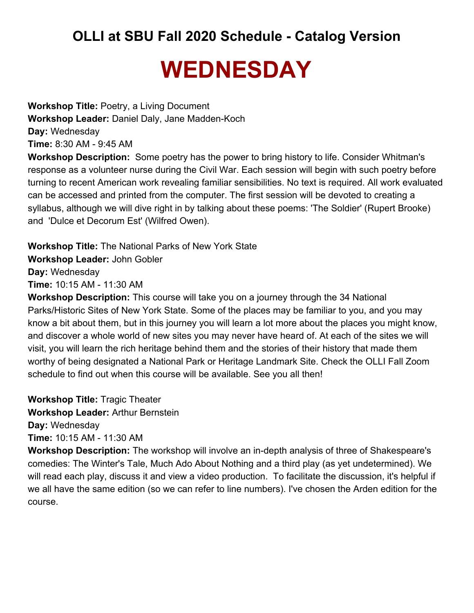## **WEDNESDAY**

**Workshop Title:** Poetry, a Living Document **Workshop Leader:** Daniel Daly, Jane Madden-Koch **Day:** Wednesday **Time:** 8:30 AM - 9:45 AM

**Workshop Description:** Some poetry has the power to bring history to life. Consider Whitman's response as a volunteer nurse during the Civil War. Each session will begin with such poetry before turning to recent American work revealing familiar sensibilities. No text is required. All work evaluated can be accessed and printed from the computer. The first session will be devoted to creating a syllabus, although we will dive right in by talking about these poems: 'The Soldier' (Rupert Brooke) and 'Dulce et Decorum Est' (Wilfred Owen).

**Workshop Title:** The National Parks of New York State **Workshop Leader:** John Gobler **Day:** Wednesday **Time:** 10:15 AM - 11:30 AM

**Workshop Description:** This course will take you on a journey through the 34 National Parks/Historic Sites of New York State. Some of the places may be familiar to you, and you may know a bit about them, but in this journey you will learn a lot more about the places you might know, and discover a whole world of new sites you may never have heard of. At each of the sites we will visit, you will learn the rich heritage behind them and the stories of their history that made them worthy of being designated a National Park or Heritage Landmark Site. Check the OLLI Fall Zoom schedule to find out when this course will be available. See you all then!

**Workshop Title:** Tragic Theater **Workshop Leader:** Arthur Bernstein **Day:** Wednesday **Time:** 10:15 AM - 11:30 AM

**Workshop Description:** The workshop will involve an in-depth analysis of three of Shakespeare's comedies: The Winter's Tale, Much Ado About Nothing and a third play (as yet undetermined). We will read each play, discuss it and view a video production. To facilitate the discussion, it's helpful if we all have the same edition (so we can refer to line numbers). I've chosen the Arden edition for the course.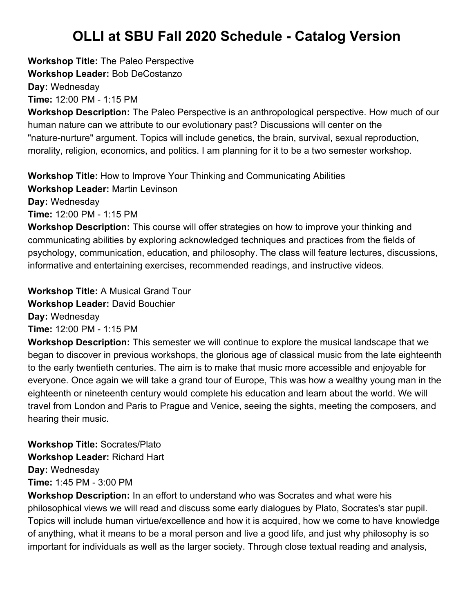**Workshop Title:** The Paleo Perspective **Workshop Leader:** Bob DeCostanzo **Day:** Wednesday **Time:** 12:00 PM - 1:15 PM

**Workshop Description:** The Paleo Perspective is an anthropological perspective. How much of our human nature can we attribute to our evolutionary past? Discussions will center on the "nature-nurture" argument. Topics will include genetics, the brain, survival, sexual reproduction, morality, religion, economics, and politics. I am planning for it to be a two semester workshop.

**Workshop Title:** How to Improve Your Thinking and Communicating Abilities **Workshop Leader:** Martin Levinson **Day:** Wednesday **Time:** 12:00 PM - 1:15 PM

**Workshop Description:** This course will offer strategies on how to improve your thinking and communicating abilities by exploring acknowledged techniques and practices from the fields of psychology, communication, education, and philosophy. The class will feature lectures, discussions, informative and entertaining exercises, recommended readings, and instructive videos.

**Workshop Title:** A Musical Grand Tour **Workshop Leader:** David Bouchier **Day:** Wednesday **Time:** 12:00 PM - 1:15 PM

**Workshop Description:** This semester we will continue to explore the musical landscape that we began to discover in previous workshops, the glorious age of classical music from the late eighteenth to the early twentieth centuries. The aim is to make that music more accessible and enjoyable for everyone. Once again we will take a grand tour of Europe, This was how a wealthy young man in the eighteenth or nineteenth century would complete his education and learn about the world. We will travel from London and Paris to Prague and Venice, seeing the sights, meeting the composers, and hearing their music.

**Workshop Title:** Socrates/Plato **Workshop Leader:** Richard Hart **Day:** Wednesday **Time:** 1:45 PM - 3:00 PM

**Workshop Description:** In an effort to understand who was Socrates and what were his philosophical views we will read and discuss some early dialogues by Plato, Socrates's star pupil. Topics will include human virtue/excellence and how it is acquired, how we come to have knowledge of anything, what it means to be a moral person and live a good life, and just why philosophy is so important for individuals as well as the larger society. Through close textual reading and analysis,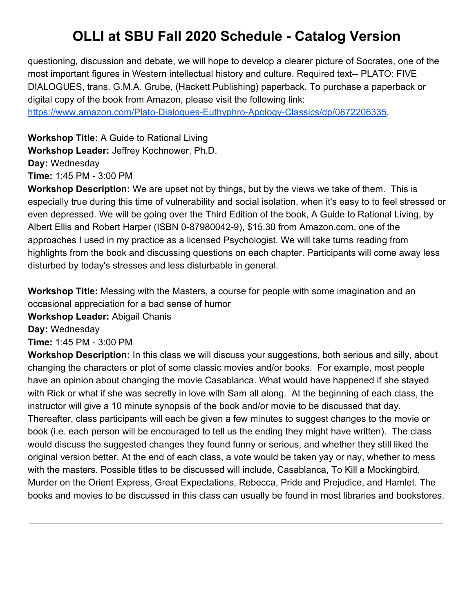questioning, discussion and debate, we will hope to develop a clearer picture of Socrates, one of the most important figures in Western intellectual history and culture. Required text-- PLATO: FIVE DIALOGUES, trans. G.M.A. Grube, (Hackett Publishing) paperback. To purchase a paperback or digital copy of the book from Amazon, please visit the following link:

[https://www.amazon.com/Plato-Dialogues-Euthyphro-Apology-Classics/dp/0872206335.](https://www.amazon.com/Plato-Dialogues-Euthyphro-Apology-Classics/dp/0872206335)

**Workshop Title:** A Guide to Rational Living **Workshop Leader:** Jeffrey Kochnower, Ph.D. **Day:** Wednesday **Time:** 1:45 PM - 3:00 PM

**Workshop Description:** We are upset not by things, but by the views we take of them. This is especially true during this time of vulnerability and social isolation, when it's easy to to feel stressed or even depressed. We will be going over the Third Edition of the book, A Guide to Rational Living, by Albert Ellis and Robert Harper (ISBN 0-87980042-9), \$15.30 from Amazon.com, one of the approaches I used in my practice as a licensed Psychologist. We will take turns reading from highlights from the book and discussing questions on each chapter. Participants will come away less disturbed by today's stresses and less disturbable in general.

**Workshop Title:** Messing with the Masters, a course for people with some imagination and an occasional appreciation for a bad sense of humor

**Workshop Leader:** Abigail Chanis

**Day:** Wednesday

**Time:** 1:45 PM - 3:00 PM

**Workshop Description:** In this class we will discuss your suggestions, both serious and silly, about changing the characters or plot of some classic movies and/or books. For example, most people have an opinion about changing the movie Casablanca. What would have happened if she stayed with Rick or what if she was secretly in love with Sam all along. At the beginning of each class, the instructor will give a 10 minute synopsis of the book and/or movie to be discussed that day. Thereafter, class participants will each be given a few minutes to suggest changes to the movie or book (i.e. each person will be encouraged to tell us the ending they might have written). The class would discuss the suggested changes they found funny or serious, and whether they still liked the original version better. At the end of each class, a vote would be taken yay or nay, whether to mess with the masters. Possible titles to be discussed will include, Casablanca, To Kill a Mockingbird, Murder on the Orient Express, Great Expectations, Rebecca, Pride and Prejudice, and Hamlet. The books and movies to be discussed in this class can usually be found in most libraries and bookstores.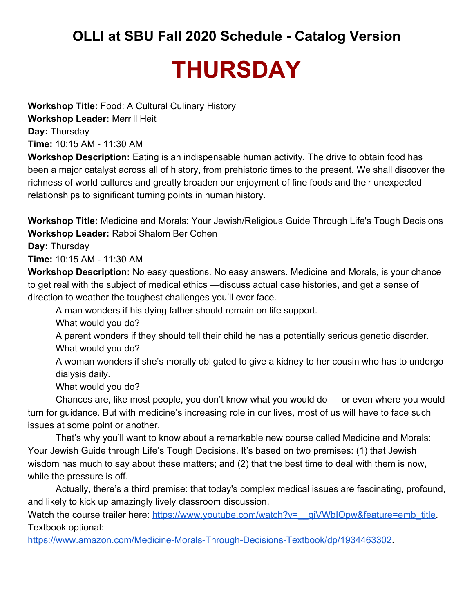## **THURSDAY**

**Workshop Title:** Food: A Cultural Culinary History **Workshop Leader:** Merrill Heit **Day:** Thursday **Time:** 10:15 AM - 11:30 AM

**Workshop Description:** Eating is an indispensable human activity. The drive to obtain food has been a major catalyst across all of history, from prehistoric times to the present. We shall discover the richness of world cultures and greatly broaden our enjoyment of fine foods and their unexpected relationships to significant turning points in human history.

**Workshop Title:** Medicine and Morals: Your Jewish/Religious Guide Through Life's Tough Decisions **Workshop Leader:** Rabbi Shalom Ber Cohen

**Day:** Thursday

**Time:** 10:15 AM - 11:30 AM

**Workshop Description:** No easy questions. No easy answers. Medicine and Morals, is your chance to get real with the subject of medical ethics —discuss actual case histories, and get a sense of direction to weather the toughest challenges you'll ever face.

A man wonders if his dying father should remain on life support.

What would you do?

A parent wonders if they should tell their child he has a potentially serious genetic disorder. What would you do?

A woman wonders if she's morally obligated to give a kidney to her cousin who has to undergo dialysis daily.

What would you do?

Chances are, like most people, you don't know what you would do — or even where you would turn for guidance. But with medicine's increasing role in our lives, most of us will have to face such issues at some point or another.

That's why you'll want to know about a remarkable new course called Medicine and Morals: Your Jewish Guide through Life's Tough Decisions. It's based on two premises: (1) that Jewish wisdom has much to say about these matters; and (2) that the best time to deal with them is now, while the pressure is off.

Actually, there's a third premise: that today's complex medical issues are fascinating, profound, and likely to kick up amazingly lively classroom discussion.

Watch the course trailer here: https://www.youtube.com/watch?v=\_qiVWbIOpw&feature=emb\_title. Textbook optional:

<https://www.amazon.com/Medicine-Morals-Through-Decisions-Textbook/dp/1934463302>.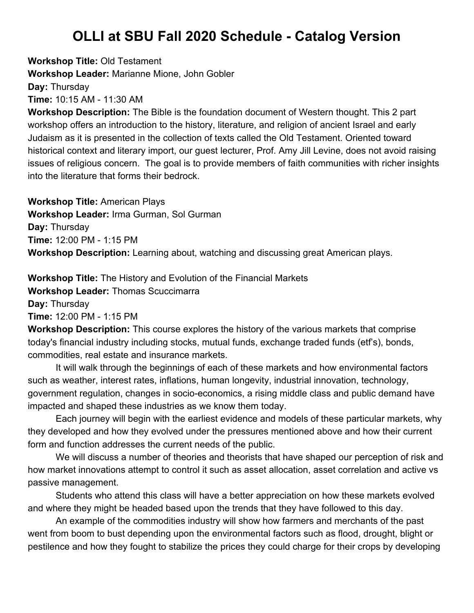**Workshop Title:** Old Testament **Workshop Leader:** Marianne Mione, John Gobler **Day:** Thursday **Time:** 10:15 AM - 11:30 AM

**Workshop Description:** The Bible is the foundation document of Western thought. This 2 part workshop offers an introduction to the history, literature, and religion of ancient Israel and early Judaism as it is presented in the collection of texts called the Old Testament. Oriented toward historical context and literary import, our guest lecturer, Prof. Amy Jill Levine, does not avoid raising issues of religious concern. The goal is to provide members of faith communities with richer insights into the literature that forms their bedrock.

**Workshop Title:** American Plays **Workshop Leader:** Irma Gurman, Sol Gurman **Day:** Thursday **Time:** 12:00 PM - 1:15 PM **Workshop Description:** Learning about, watching and discussing great American plays.

**Workshop Title:** The History and Evolution of the Financial Markets

**Workshop Leader:** Thomas Scuccimarra

**Day:** Thursday

**Time:** 12:00 PM - 1:15 PM

**Workshop Description:** This course explores the history of the various markets that comprise today's financial industry including stocks, mutual funds, exchange traded funds (etf's), bonds, commodities, real estate and insurance markets.

It will walk through the beginnings of each of these markets and how environmental factors such as weather, interest rates, inflations, human longevity, industrial innovation, technology, government regulation, changes in socio-economics, a rising middle class and public demand have impacted and shaped these industries as we know them today.

Each journey will begin with the earliest evidence and models of these particular markets, why they developed and how they evolved under the pressures mentioned above and how their current form and function addresses the current needs of the public.

We will discuss a number of theories and theorists that have shaped our perception of risk and how market innovations attempt to control it such as asset allocation, asset correlation and active vs passive management.

Students who attend this class will have a better appreciation on how these markets evolved and where they might be headed based upon the trends that they have followed to this day.

An example of the commodities industry will show how farmers and merchants of the past went from boom to bust depending upon the environmental factors such as flood, drought, blight or pestilence and how they fought to stabilize the prices they could charge for their crops by developing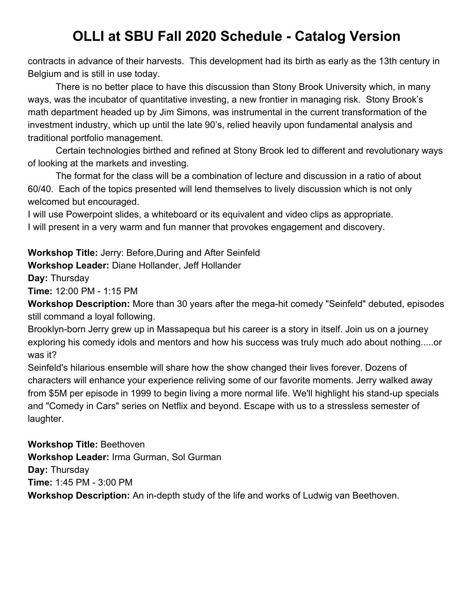contracts in advance of their harvests. This development had its birth as early as the 13th century in Belgium and is still in use today.

There is no better place to have this discussion than Stony Brook University which, in many ways, was the incubator of quantitative investing, a new frontier in managing risk. Stony Brook's math department headed up by Jim Simons, was instrumental in the current transformation of the investment industry, which up until the late 90's, relied heavily upon fundamental analysis and traditional portfolio management.

Certain technologies birthed and refined at Stony Brook led to different and revolutionary ways of looking at the markets and investing.

The format for the class will be a combination of lecture and discussion in a ratio of about 60/40. Each of the topics presented will lend themselves to lively discussion which is not only welcomed but encouraged.

I will use Powerpoint slides, a whiteboard or its equivalent and video clips as appropriate. I will present in a very warm and fun manner that provokes engagement and discovery.

**Workshop Title:** Jerry: Before,During and After Seinfeld

**Workshop Leader:** Diane Hollander, Jeff Hollander

**Day:** Thursday

**Time:** 12:00 PM - 1:15 PM

**Workshop Description:** More than 30 years after the mega-hit comedy "Seinfeld" debuted, episodes still command a loyal following.

Brooklyn-born Jerry grew up in Massapequa but his career is a story in itself. Join us on a journey exploring his comedy idols and mentors and how his success was truly much ado about nothing.....or was it?

Seinfeld's hilarious ensemble will share how the show changed their lives forever. Dozens of characters will enhance your experience reliving some of our favorite moments. Jerry walked away from \$5M per episode in 1999 to begin living a more normal life. We'll highlight his stand-up specials and "Comedy in Cars" series on Netflix and beyond. Escape with us to a stressless semester of laughter.

**Workshop Title:** Beethoven **Workshop Leader:** Irma Gurman, Sol Gurman **Day:** Thursday **Time:** 1:45 PM - 3:00 PM **Workshop Description:** An in-depth study of the life and works of Ludwig van Beethoven.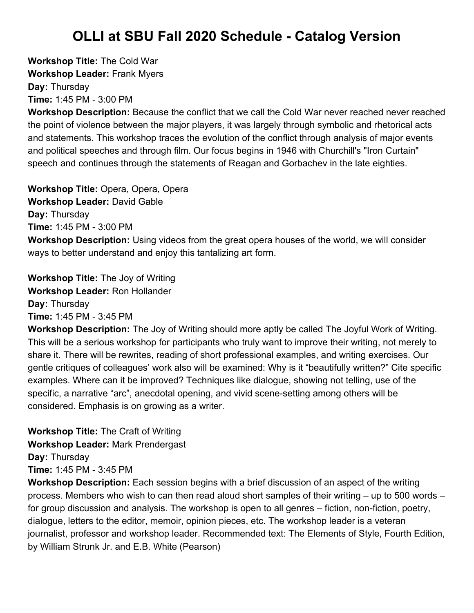**Workshop Title:** The Cold War **Workshop Leader:** Frank Myers **Day:** Thursday **Time:** 1:45 PM - 3:00 PM

**Workshop Description:** Because the conflict that we call the Cold War never reached never reached the point of violence between the major players, it was largely through symbolic and rhetorical acts and statements. This workshop traces the evolution of the conflict through analysis of major events and political speeches and through film. Our focus begins in 1946 with Churchill's "Iron Curtain" speech and continues through the statements of Reagan and Gorbachev in the late eighties.

**Workshop Title:** Opera, Opera, Opera **Workshop Leader:** David Gable **Day:** Thursday **Time:** 1:45 PM - 3:00 PM **Workshop Description:** Using videos from the great opera houses of the world, we will consider ways to better understand and enjoy this tantalizing art form.

**Workshop Title:** The Joy of Writing **Workshop Leader:** Ron Hollander **Day:** Thursday **Time:** 1:45 PM - 3:45 PM

**Workshop Description:** The Joy of Writing should more aptly be called The Joyful Work of Writing. This will be a serious workshop for participants who truly want to improve their writing, not merely to share it. There will be rewrites, reading of short professional examples, and writing exercises. Our gentle critiques of colleagues' work also will be examined: Why is it "beautifully written?" Cite specific examples. Where can it be improved? Techniques like dialogue, showing not telling, use of the specific, a narrative "arc", anecdotal opening, and vivid scene-setting among others will be considered. Emphasis is on growing as a writer.

**Workshop Title:** The Craft of Writing **Workshop Leader:** Mark Prendergast **Day:** Thursday **Time:** 1:45 PM - 3:45 PM

**Workshop Description:** Each session begins with a brief discussion of an aspect of the writing process. Members who wish to can then read aloud short samples of their writing – up to 500 words – for group discussion and analysis. The workshop is open to all genres – fiction, non-fiction, poetry, dialogue, letters to the editor, memoir, opinion pieces, etc. The workshop leader is a veteran journalist, professor and workshop leader. Recommended text: The Elements of Style, Fourth Edition, by William Strunk Jr. and E.B. White (Pearson)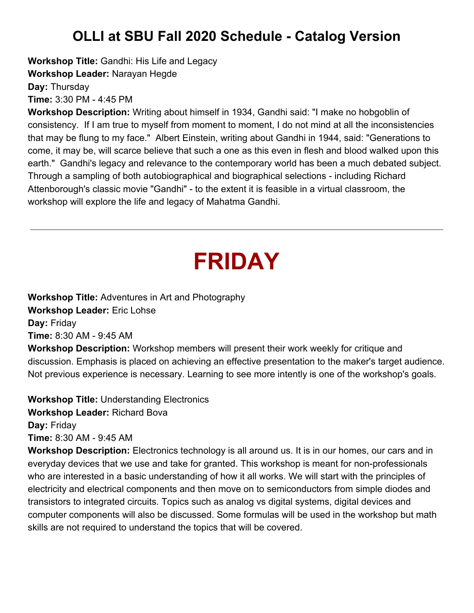**Workshop Title:** Gandhi: His Life and Legacy

**Workshop Leader:** Narayan Hegde

**Day:** Thursday

**Time:** 3:30 PM - 4:45 PM

**Workshop Description:** Writing about himself in 1934, Gandhi said: "I make no hobgoblin of consistency. If I am true to myself from moment to moment, I do not mind at all the inconsistencies that may be flung to my face." Albert Einstein, writing about Gandhi in 1944, said: "Generations to come, it may be, will scarce believe that such a one as this even in flesh and blood walked upon this earth." Gandhi's legacy and relevance to the contemporary world has been a much debated subject. Through a sampling of both autobiographical and biographical selections - including Richard Attenborough's classic movie "Gandhi" - to the extent it is feasible in a virtual classroom, the workshop will explore the life and legacy of Mahatma Gandhi.

# **FRIDAY**

**Workshop Title:** Adventures in Art and Photography **Workshop Leader:** Eric Lohse **Day:** Friday **Time:** 8:30 AM - 9:45 AM

**Workshop Description:** Workshop members will present their work weekly for critique and discussion. Emphasis is placed on achieving an effective presentation to the maker's target audience. Not previous experience is necessary. Learning to see more intently is one of the workshop's goals.

**Workshop Title:** Understanding Electronics **Workshop Leader:** Richard Bova

**Day:** Friday

**Time:** 8:30 AM - 9:45 AM

**Workshop Description:** Electronics technology is all around us. It is in our homes, our cars and in everyday devices that we use and take for granted. This workshop is meant for non-professionals who are interested in a basic understanding of how it all works. We will start with the principles of electricity and electrical components and then move on to semiconductors from simple diodes and transistors to integrated circuits. Topics such as analog vs digital systems, digital devices and computer components will also be discussed. Some formulas will be used in the workshop but math skills are not required to understand the topics that will be covered.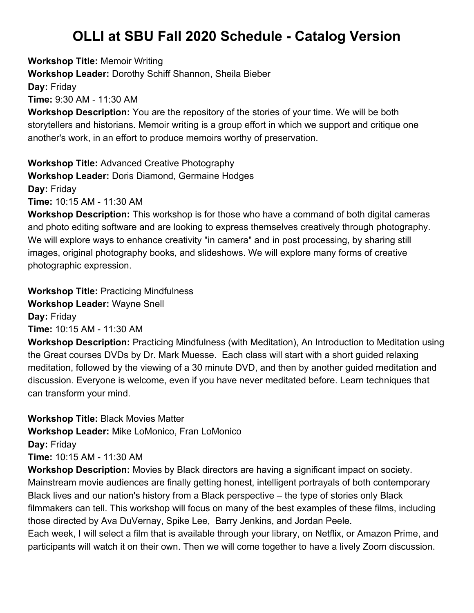**Workshop Title:** Memoir Writing **Workshop Leader:** Dorothy Schiff Shannon, Sheila Bieber **Day:** Friday **Time:** 9:30 AM - 11:30 AM **Workshop Description:** You are the repository of the stories of your time. We will be both storytellers and historians. Memoir writing is a group effort in which we support and critique one another's work, in an effort to produce memoirs worthy of preservation.

**Workshop Title:** Advanced Creative Photography **Workshop Leader:** Doris Diamond, Germaine Hodges **Day:** Friday **Time:** 10:15 AM - 11:30 AM

**Workshop Description:** This workshop is for those who have a command of both digital cameras and photo editing software and are looking to express themselves creatively through photography. We will explore ways to enhance creativity "in camera" and in post processing, by sharing still images, original photography books, and slideshows. We will explore many forms of creative photographic expression.

**Workshop Title:** Practicing Mindfulness **Workshop Leader:** Wayne Snell **Day:** Friday **Time:** 10:15 AM - 11:30 AM

**Workshop Description:** Practicing Mindfulness (with Meditation), An Introduction to Meditation using the Great courses DVDs by Dr. Mark Muesse. Each class will start with a short guided relaxing meditation, followed by the viewing of a 30 minute DVD, and then by another guided meditation and discussion. Everyone is welcome, even if you have never meditated before. Learn techniques that can transform your mind.

**Workshop Title:** Black Movies Matter **Workshop Leader:** Mike LoMonico, Fran LoMonico **Day:** Friday **Time:** 10:15 AM - 11:30 AM

**Workshop Description:** Movies by Black directors are having a significant impact on society. Mainstream movie audiences are finally getting honest, intelligent portrayals of both contemporary Black lives and our nation's history from a Black perspective – the type of stories only Black filmmakers can tell. This workshop will focus on many of the best examples of these films, including those directed by Ava DuVernay, Spike Lee, Barry Jenkins, and Jordan Peele.

Each week, I will select a film that is available through your library, on Netflix, or Amazon Prime, and participants will watch it on their own. Then we will come together to have a lively Zoom discussion.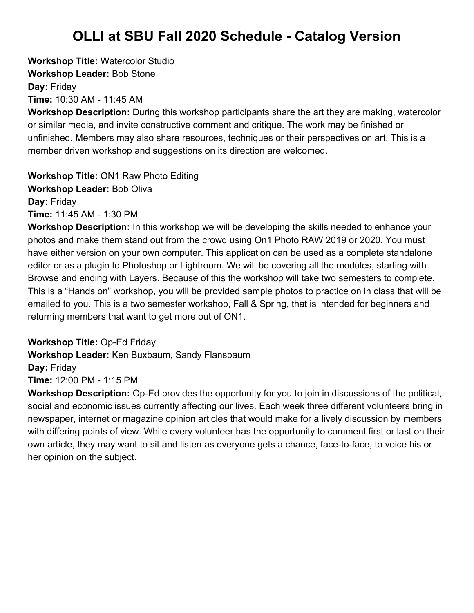**Workshop Title:** Watercolor Studio **Workshop Leader:** Bob Stone **Day:** Friday **Time:** 10:30 AM - 11:45 AM

**Workshop Description:** During this workshop participants share the art they are making, watercolor or similar media, and invite constructive comment and critique. The work may be finished or unfinished. Members may also share resources, techniques or their perspectives on art. This is a member driven workshop and suggestions on its direction are welcomed.

**Workshop Title:** ON1 Raw Photo Editing **Workshop Leader:** Bob Oliva **Day:** Friday **Time:** 11:45 AM - 1:30 PM

**Workshop Description:** In this workshop we will be developing the skills needed to enhance your photos and make them stand out from the crowd using On1 Photo RAW 2019 or 2020. You must have either version on your own computer. This application can be used as a complete standalone editor or as a plugin to Photoshop or Lightroom. We will be covering all the modules, starting with Browse and ending with Layers. Because of this the workshop will take two semesters to complete. This is a "Hands on" workshop, you will be provided sample photos to practice on in class that will be emailed to you. This is a two semester workshop, Fall & Spring, that is intended for beginners and returning members that want to get more out of ON1.

**Workshop Title:** Op-Ed Friday

**Workshop Leader:** Ken Buxbaum, Sandy Flansbaum

**Day:** Friday

**Time:** 12:00 PM - 1:15 PM

**Workshop Description:** Op-Ed provides the opportunity for you to join in discussions of the political, social and economic issues currently affecting our lives. Each week three different volunteers bring in newspaper, internet or magazine opinion articles that would make for a lively discussion by members with differing points of view. While every volunteer has the opportunity to comment first or last on their own article, they may want to sit and listen as everyone gets a chance, face-to-face, to voice his or her opinion on the subject.